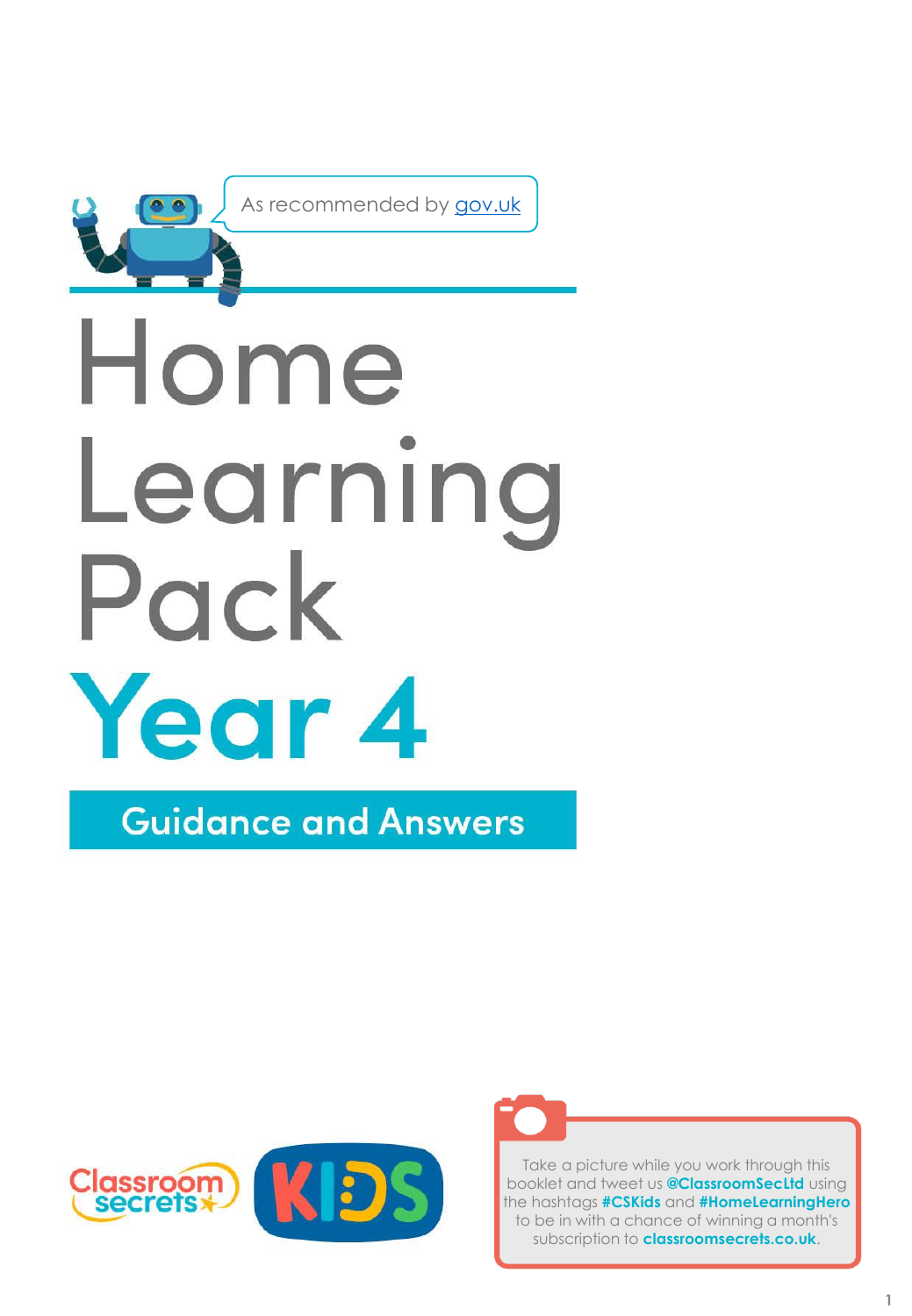

As recommended by [gov.uk](https://www.gov.uk/government/publications/coronavirus-covid-19-online-education-resources/coronavirus-covid-19-list-of-online-education-resources-for-home-education?)

# Home Learning Pack Year 4

**Guidance and Answers** 





Take a picture while you work through this booklet and tweet us **@ClassroomSecLtd** using the hashtags **#CSKids** and **#HomeLearningHero** to be in with a chance of winning a month's subscription to **classroomsecrets.co.uk**.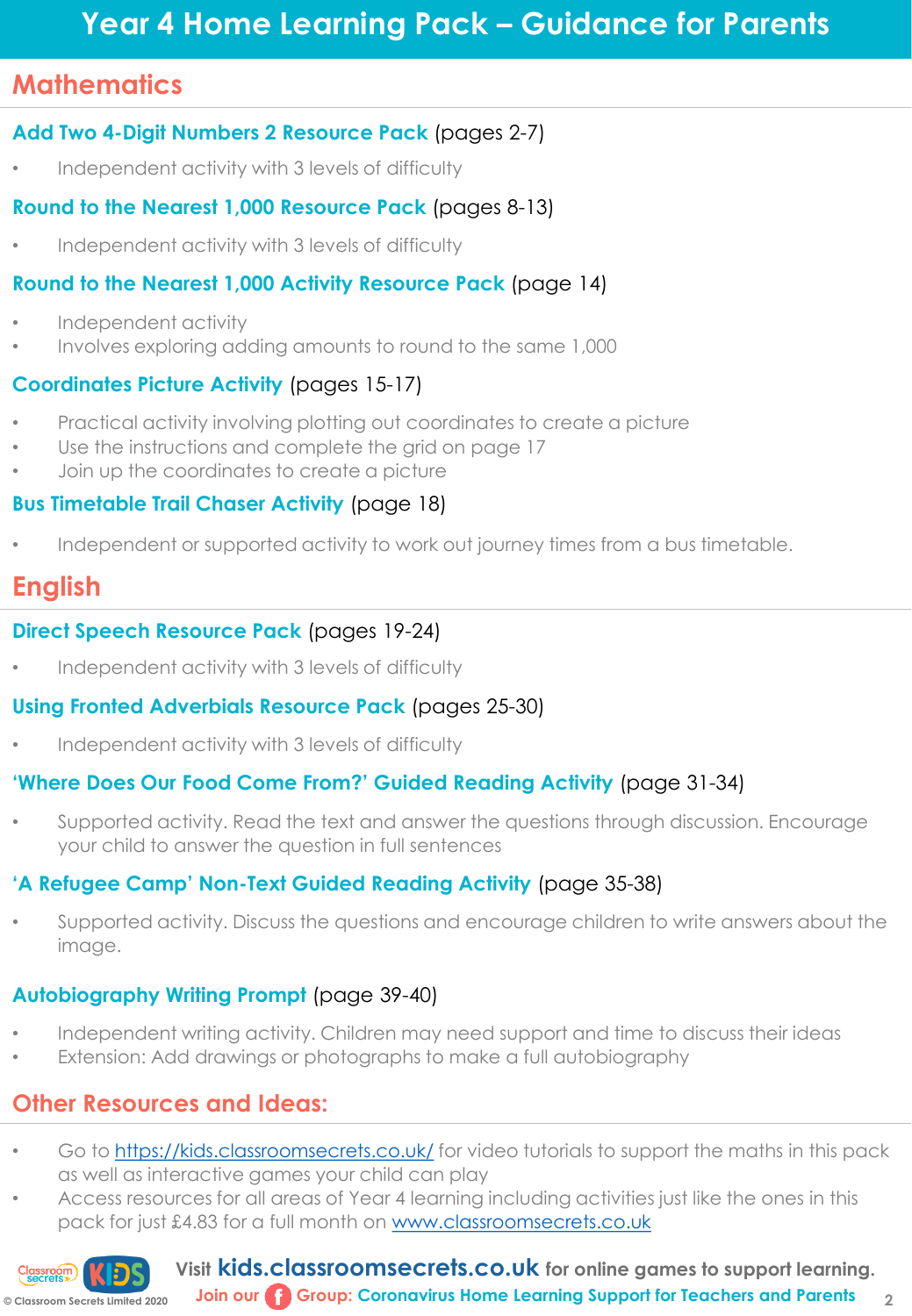# **Year 4 Home Learning Pack – Guidance for Parents**

# **Mathematics**

# **Add Two 4-Digit Numbers 2 Resource Pack** (pages 2-7)

• Independent activity with 3 levels of difficulty

# **Round to the Nearest 1,000 Resource Pack** (pages 8-13)

Independent activity with 3 levels of difficulty

# **Round to the Nearest 1,000 Activity Resource Pack** (page 14)

- Independent activity
- Involves exploring adding amounts to round to the same 1,000

# **Coordinates Picture Activity** (pages 15-17)

- Practical activity involving plotting out coordinates to create a picture
- Use the instructions and complete the grid on page 17
- Join up the coordinates to create a picture

# **Bus Timetable Trail Chaser Activity** (page 18)

• Independent or supported activity to work out journey times from a bus timetable.

# **English**

# **Direct Speech Resource Pack** (pages 19-24)

• Independent activity with 3 levels of difficulty

# **Using Fronted Adverbials Resource Pack** (pages 25-30)

• Independent activity with 3 levels of difficulty

# **'Where Does Our Food Come From?' Guided Reading Activity** (page 31-34)

• Supported activity. Read the text and answer the questions through discussion. Encourage your child to answer the question in full sentences

# **'A Refugee Camp' Non-Text Guided Reading Activity** (page 35-38)

• Supported activity. Discuss the questions and encourage children to write answers about the image.

# **Autobiography Writing Prompt** (page 39-40)

- Independent writing activity. Children may need support and time to discuss their ideas
- Extension: Add drawings or photographs to make a full autobiography

# **Other Resources and Ideas:**

- Go to <https://kids.classroomsecrets.co.uk/> for video tutorials to support the maths in this pack as well as interactive games your child can play
- Access resources for all areas of Year 4 learning including activities just like the ones in this pack for just £4.83 for a full month on [www.classroomsecrets.co.uk](http://www.classroomsecrets.co.uk/)



**Visit kids.classroomsecrets.co.uk for online games to support learning. Join our Group: Coronavirus Home Learning Support for Teachers and Parents**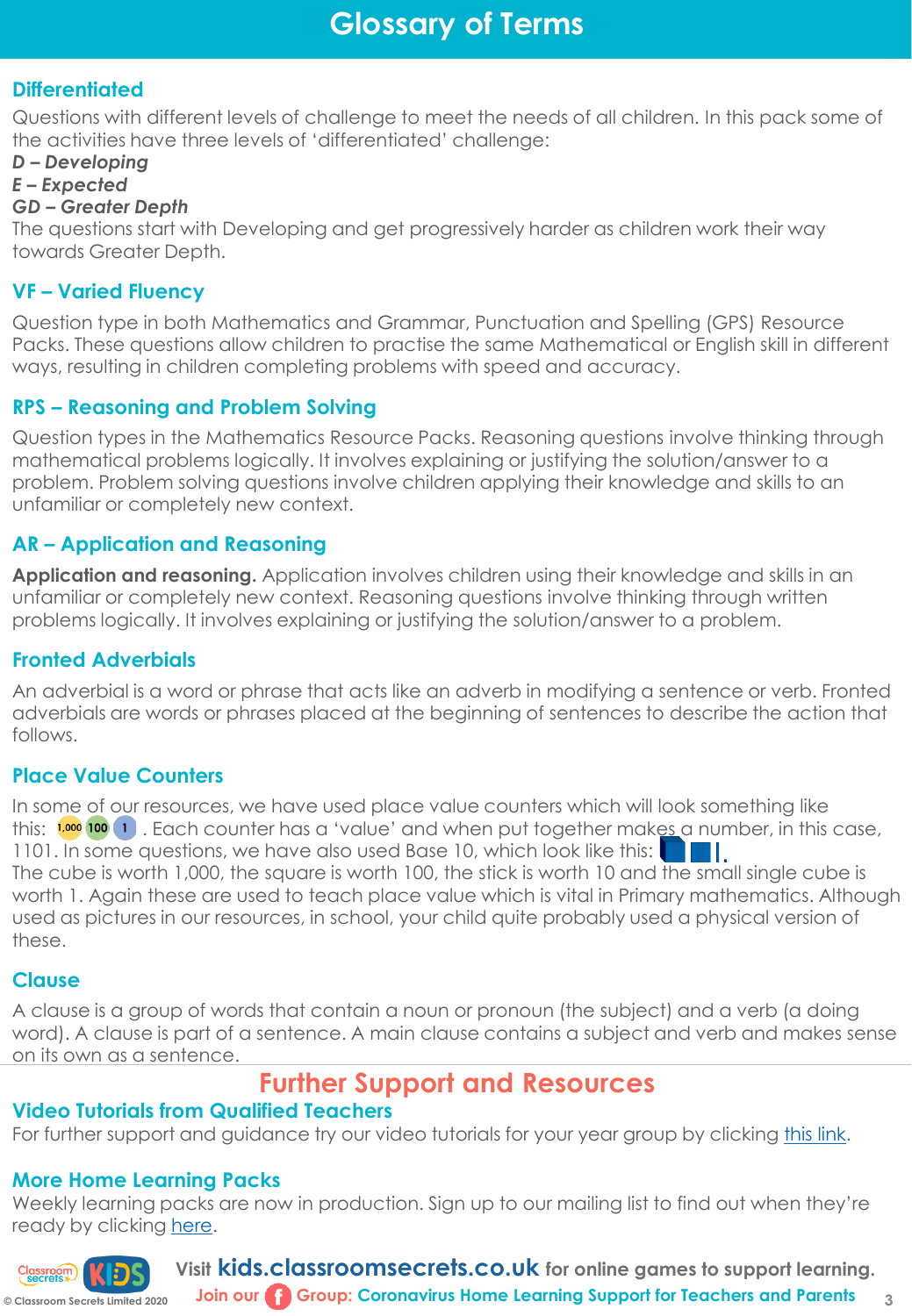# **Differentiated**

Questions with different levels of challenge to meet the needs of all children. In this pack some of the activities have three levels of 'differentiated' challenge:

# *D – Developing*

#### *E – Expected*

### *GD – Greater Depth*

The questions start with Developing and get progressively harder as children work their way towards Greater Depth.

# **VF – Varied Fluency**

Question type in both Mathematics and Grammar, Punctuation and Spelling (GPS) Resource Packs. These questions allow children to practise the same Mathematical or English skill in different ways, resulting in children completing problems with speed and accuracy.

# **RPS – Reasoning and Problem Solving**

Question types in the Mathematics Resource Packs. Reasoning questions involve thinking through mathematical problems logically. It involves explaining or justifying the solution/answer to a problem. Problem solving questions involve children applying their knowledge and skills to an unfamiliar or completely new context.

# **AR – Application and Reasoning**

**Application and reasoning.** Application involves children using their knowledge and skills in an unfamiliar or completely new context. Reasoning questions involve thinking through written problems logically. It involves explaining or justifying the solution/answer to a problem.

# **Fronted Adverbials**

An adverbial is a word or phrase that acts like an adverb in modifying a sentence or verb. Fronted adverbials are words or phrases placed at the beginning of sentences to describe the action that follows.

# **Place Value Counters**

In some of our resources, we have used place value counters which will look something like this:  $\frac{1,000}{100}$  1. Each counter has a 'value' and when put together makes a number, in this case, 1101. In some questions, we have also used Base 10, which look like this: Н. The cube is worth 1,000, the square is worth 100, the stick is worth 10 and the small single cube is worth 1. Again these are used to teach place value which is vital in Primary mathematics. Although used as pictures in our resources, in school, your child quite probably used a physical version of these.

# **Clause**

A clause is a group of words that contain a noun or pronoun (the subject) and a verb (a doing word). A clause is part of a sentence. A main clause contains a subject and verb and makes sense on its own as a sentence.

# **Further Support and Resources**

# **Video Tutorials from Qualified Teachers**

For further support and guidance try our video tutorials for your year group by clicking [this link](https://kids.classroomsecrets.co.uk/category/year-4/video-tutorials-year-4-maths/).

# **More Home Learning Packs**

Weekly learning packs are now in production. Sign up to our mailing list to find out when they're ready by clicking [here.](https://clas.maillist-manage.eu/ua/Optin?od=12ba7e04c3c4&zx=14abd99ebb&lD=155e966aa27e111&n=11699f74f33f36f&sD=155e966aa27e123)



**Visit kids.classroomsecrets.co.uk for online games to support learning.**

# **Join our Group: Coronavirus Home Learning Support for Teachers and Parents**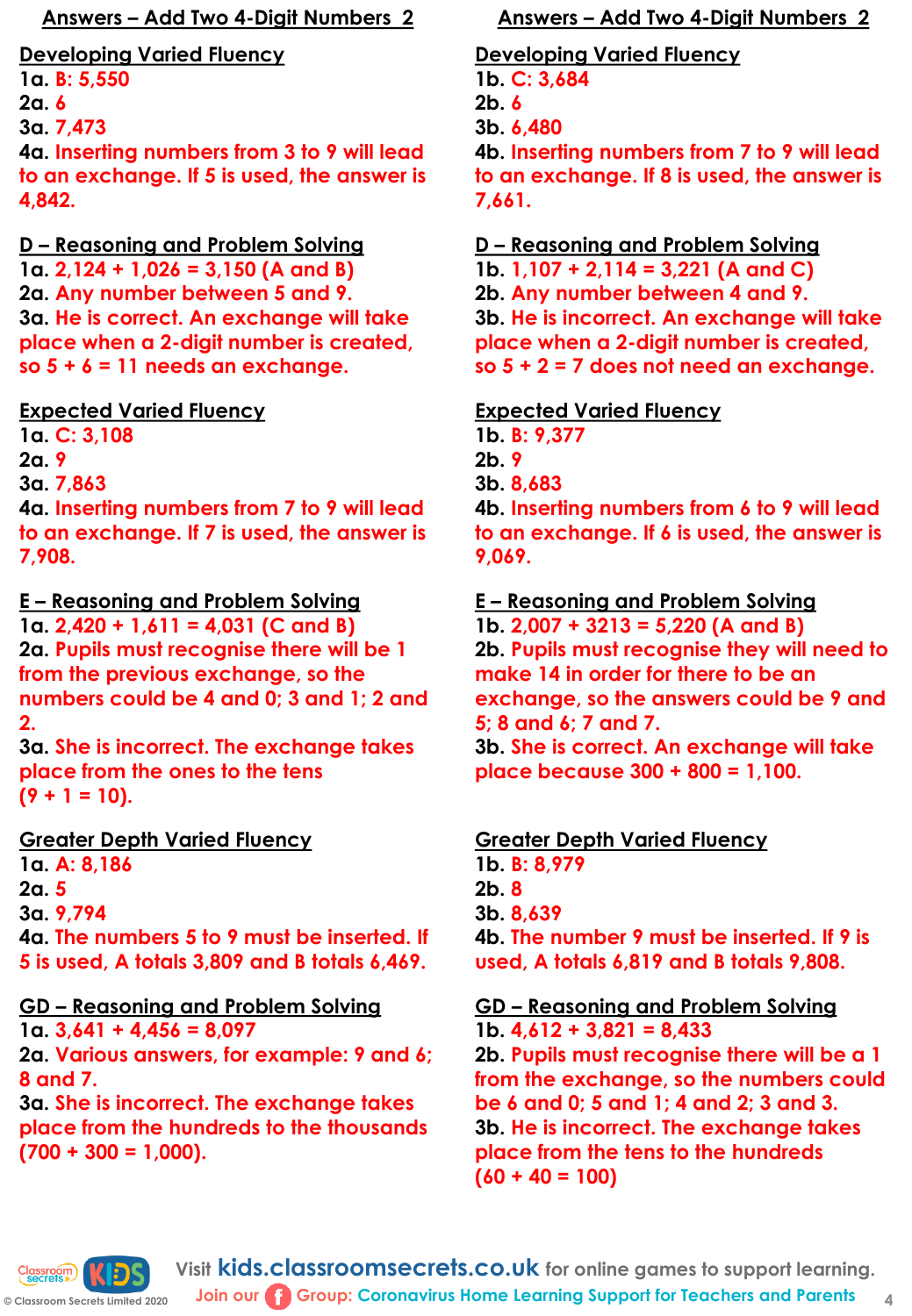**1a. B: 5,550**

**2a. 6**

**3a. 7,473**

**4a. Inserting numbers from 3 to 9 will lead to an exchange. If 5 is used, the answer is 4,842.**

# **D – Reasoning and Problem Solving**

**1a. 2,124 + 1,026 = 3,150 (A and B) 2a. Any number between 5 and 9. 3a. He is correct. An exchange will take place when a 2-digit number is created, so 5 + 6 = 11 needs an exchange.** 

# **Expected Varied Fluency**

**1a. C: 3,108**

**2a. 9**

**3a. 7,863**

**4a. Inserting numbers from 7 to 9 will lead to an exchange. If 7 is used, the answer is 7,908.** 

# **E – Reasoning and Problem Solving**

**1a. 2,420 + 1,611 = 4,031 (C and B) 2a. Pupils must recognise there will be 1 from the previous exchange, so the numbers could be 4 and 0; 3 and 1; 2 and 2.** 

**3a. She is incorrect. The exchange takes place from the ones to the tens**   $(9 + 1 = 10)$ .

# **Greater Depth Varied Fluency**

**1a. A: 8,186 2a. 5 3a. 9,794 4a. The numbers 5 to 9 must be inserted. If 5 is used, A totals 3,809 and B totals 6,469.** 

# **GD – Reasoning and Problem Solving**

**1a. 3,641 + 4,456 = 8,097 2a. Various answers, for example: 9 and 6; 8 and 7. 3a. She is incorrect. The exchange takes** 

# **place from the hundreds to the thousands (700 + 300 = 1,000).**

# **Answers – Add Two 4-Digit Numbers 2 Answers – Add Two 4-Digit Numbers 2**

#### **Developing Varied Fluency 1b. C: 3,684 2b. 6 3b. 6,480 4b. Inserting numbers from 7 to 9 will lead to an exchange. If 8 is used, the answer is 7,661.**

### **D – Reasoning and Problem Solving**

**1b. 1,107 + 2,114 = 3,221 (A and C) 2b. Any number between 4 and 9. 3b. He is incorrect. An exchange will take place when a 2-digit number is created, so 5 + 2 = 7 does not need an exchange.** 

# **Expected Varied Fluency**

**1b. B: 9,377 2b. 9 3b. 8,683 4b. Inserting numbers from 6 to 9 will lead to an exchange. If 6 is used, the answer is 9,069.** 

#### **E – Reasoning and Problem Solving**

**1b. 2,007 + 3213 = 5,220 (A and B) 2b. Pupils must recognise they will need to make 14 in order for there to be an exchange, so the answers could be 9 and 5; 8 and 6; 7 and 7. 3b. She is correct. An exchange will take place because 300 + 800 = 1,100.** 

# **Greater Depth Varied Fluency**

**1b. B: 8,979 2b. 8 3b. 8,639 4b. The number 9 must be inserted. If 9 is used, A totals 6,819 and B totals 9,808.** 

# **GD – Reasoning and Problem Solving**

**1b. 4,612 + 3,821 = 8,433 2b. Pupils must recognise there will be a 1 from the exchange, so the numbers could be 6 and 0; 5 and 1; 4 and 2; 3 and 3. 3b. He is incorrect. The exchange takes place from the tens to the hundreds (60 + 40 = 100)**

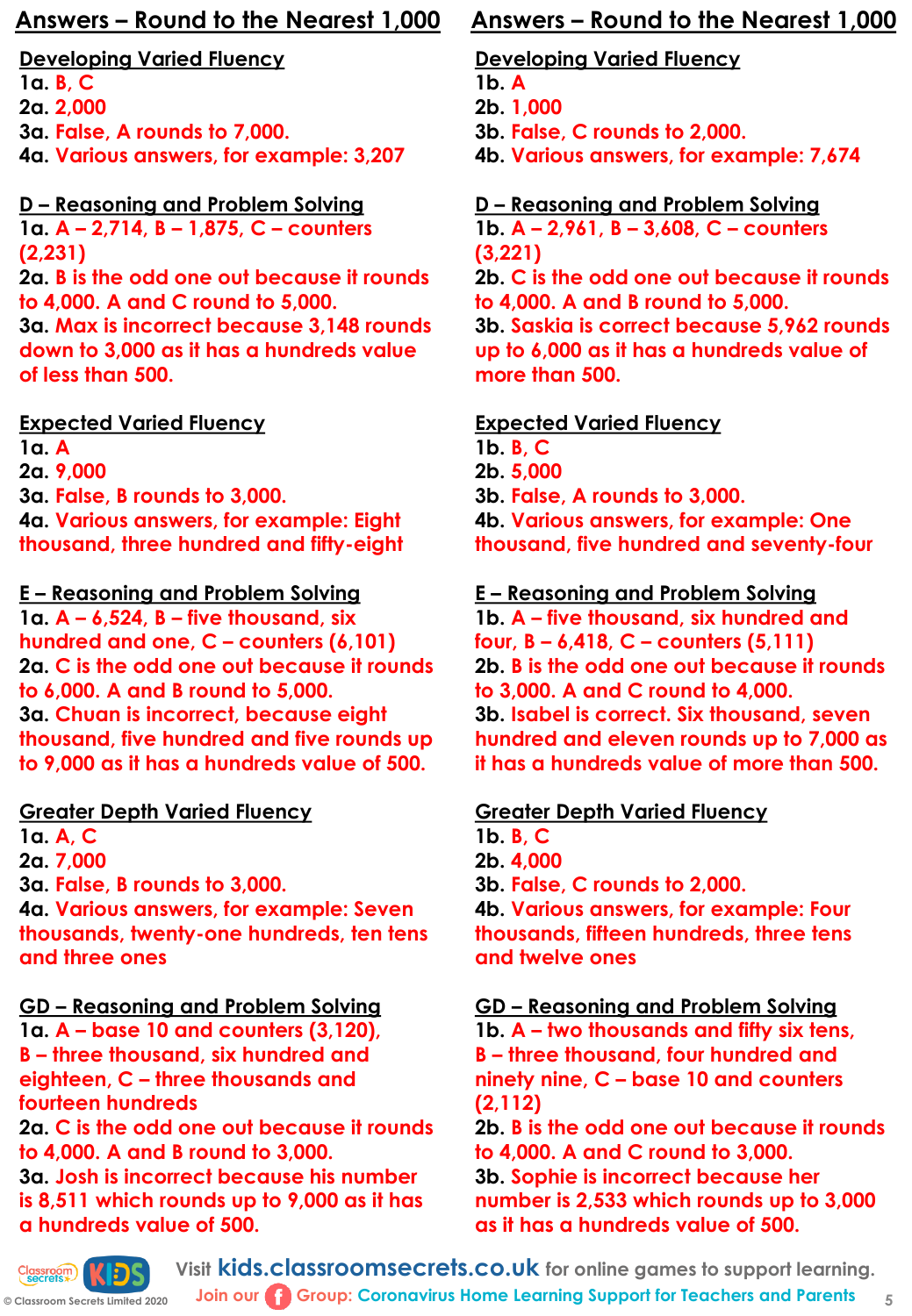- **1a. B, C 2a. 2,000**
- **3a. False, A rounds to 7,000.**
- **4a. Various answers, for example: 3,207**

# **D – Reasoning and Problem Solving**

**1a. A – 2,714, B – 1,875, C – counters (2,231)**

**2a. B is the odd one out because it rounds to 4,000. A and C round to 5,000. 3a. Max is incorrect because 3,148 rounds** 

**down to 3,000 as it has a hundreds value of less than 500.** 

# **Expected Varied Fluency**

**1a. A 2a. 9,000 3a. False, B rounds to 3,000. 4a. Various answers, for example: Eight thousand, three hundred and fifty-eight**

# **E – Reasoning and Problem Solving**

**1a. A – 6,524, B – five thousand, six hundred and one, C – counters (6,101) 2a. C is the odd one out because it rounds to 6,000. A and B round to 5,000. 3a. Chuan is incorrect, because eight thousand, five hundred and five rounds up to 9,000 as it has a hundreds value of 500.** 

# **Greater Depth Varied Fluency**

**1a. A, C 2a. 7,000 3a. False, B rounds to 3,000. 4a. Various answers, for example: Seven thousands, twenty-one hundreds, ten tens and three ones**

# **GD – Reasoning and Problem Solving**

**1a. A – base 10 and counters (3,120), B – three thousand, six hundred and eighteen, C – three thousands and fourteen hundreds**

**2a. C is the odd one out because it rounds to 4,000. A and B round to 3,000.**

**3a. Josh is incorrect because his number is 8,511 which rounds up to 9,000 as it has a hundreds value of 500.** 

# **Answers – Round to the Nearest 1,000 Answers – Round to the Nearest 1,000**

# **Developing Varied Fluency**

- **1b. A**
- **2b. 1,000**
- **3b. False, C rounds to 2,000.**
- **4b. Various answers, for example: 7,674**

# **D – Reasoning and Problem Solving**

**1b. A – 2,961, B – 3,608, C – counters (3,221)**

**2b. C is the odd one out because it rounds to 4,000. A and B round to 5,000. 3b. Saskia is correct because 5,962 rounds up to 6,000 as it has a hundreds value of more than 500.** 

# **Expected Varied Fluency**

**1b. B, C 2b. 5,000 3b. False, A rounds to 3,000. 4b. Various answers, for example: One thousand, five hundred and seventy-four**

# **E – Reasoning and Problem Solving**

**1b. A – five thousand, six hundred and four, B – 6,418, C – counters (5,111) 2b. B is the odd one out because it rounds to 3,000. A and C round to 4,000. 3b. Isabel is correct. Six thousand, seven hundred and eleven rounds up to 7,000 as it has a hundreds value of more than 500.** 

# **Greater Depth Varied Fluency**

**1b. B, C 2b. 4,000 3b. False, C rounds to 2,000. 4b. Various answers, for example: Four thousands, fifteen hundreds, three tens and twelve ones**

**GD – Reasoning and Problem Solving**

**1b. A – two thousands and fifty six tens, B – three thousand, four hundred and ninety nine, C – base 10 and counters (2,112)**

**2b. B is the odd one out because it rounds to 4,000. A and C round to 3,000. 3b. Sophie is incorrect because her number is 2,533 which rounds up to 3,000 as it has a hundreds value of 500.** 

Classroom KD **© Classroom Secrets Limited 2020** **Visit kids.classroomsecrets.co.uk for online games to support learning.**

**Join our Group: Coronavirus Home Learning Support for Teachers and Parents** 5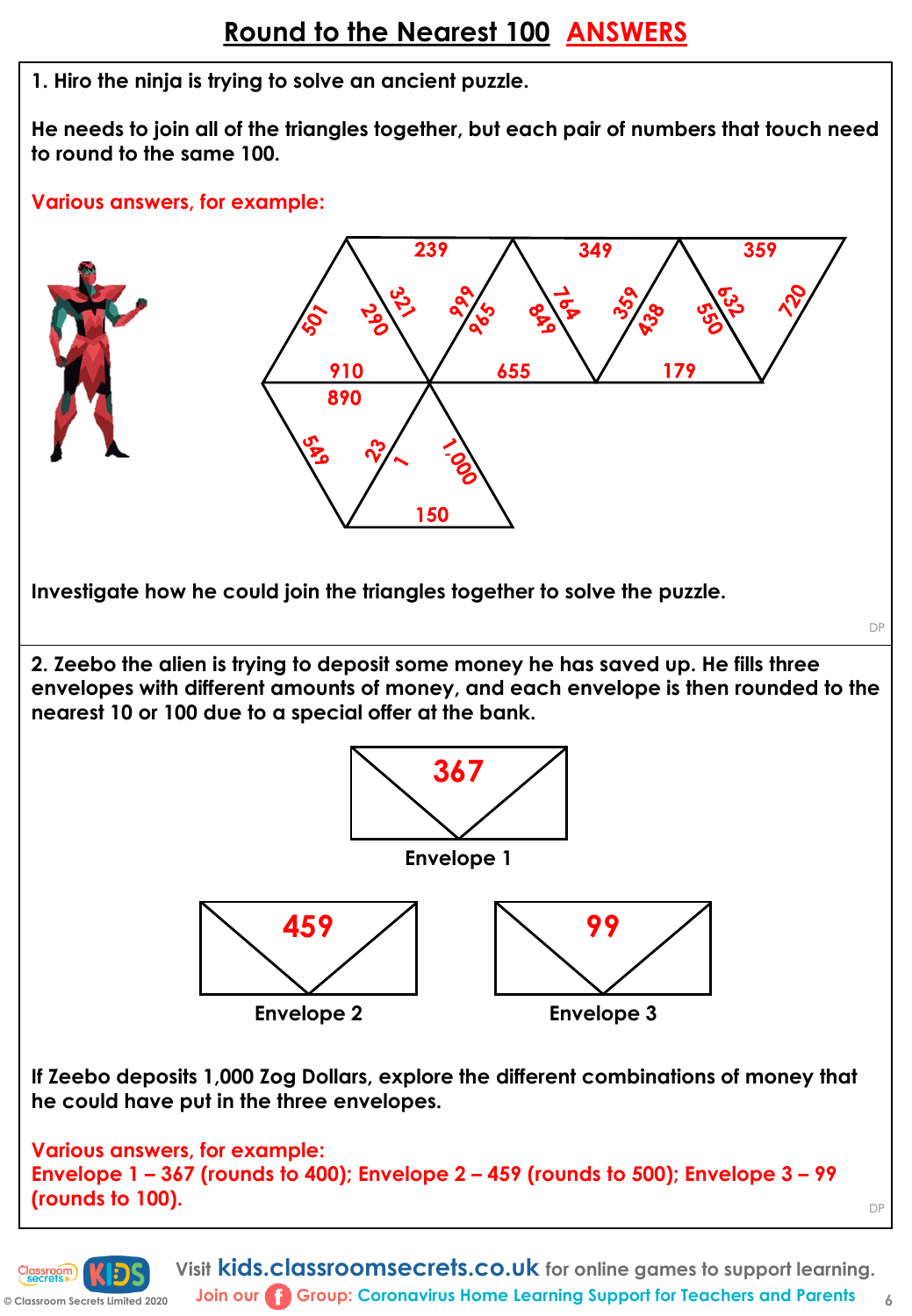**1. Hiro the ninja is trying to solve an ancient puzzle.** 

**He needs to join all of the triangles together, but each pair of numbers that touch need to round to the same 100.**

#### **Various answers, for example:**



**Join our G** Group: Coronavirus Home Learning Support for Teachers and Parents 6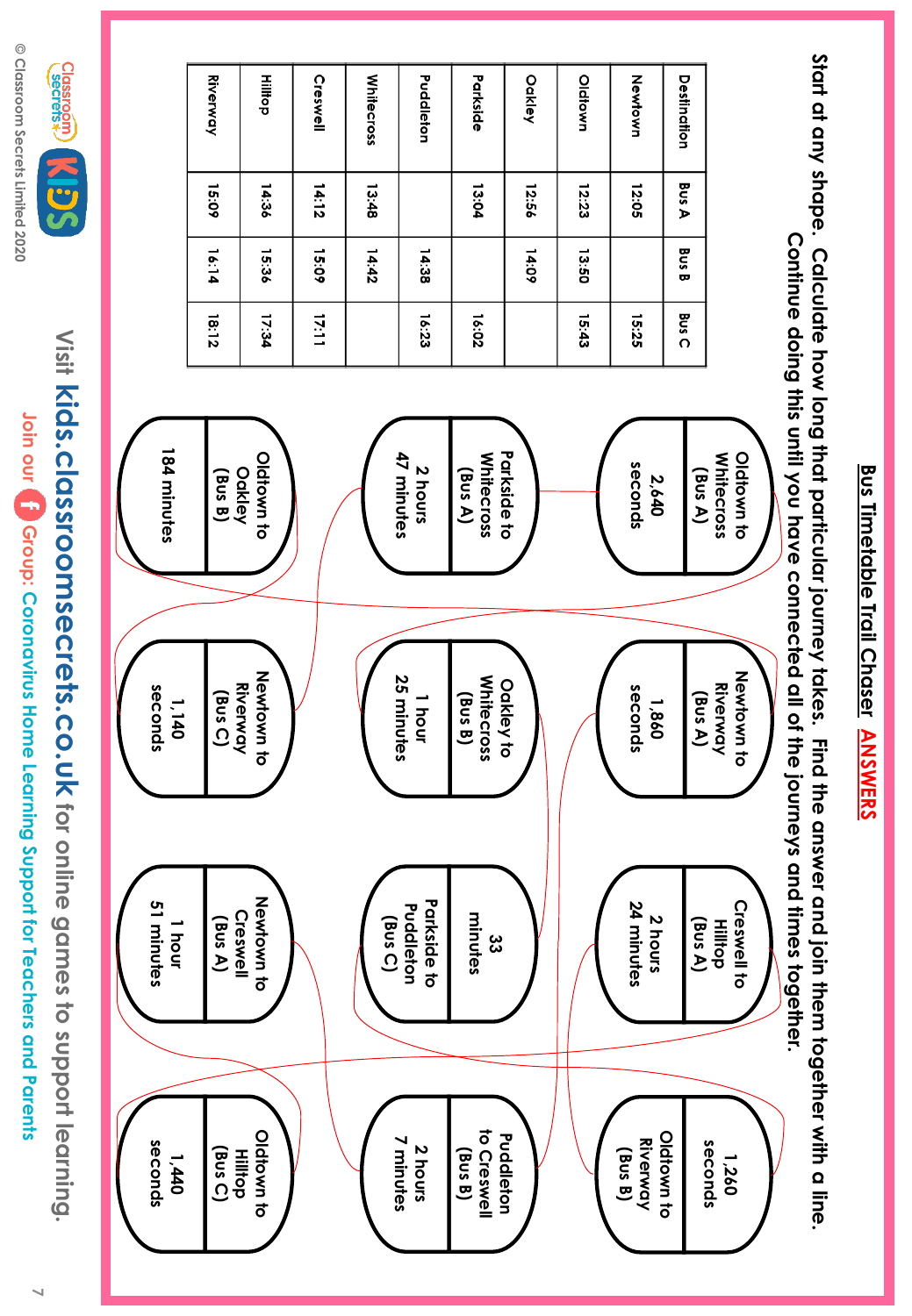© Classroom Secrets Limited 2020 **© Classroom Secrets Limited 2020**



Visit Kids.classroomsecrets.co.uk tor unine games to support learning **kids.classroomsecrets.co.uk for online games to support learning.** Join our **[10** Group: Coronavirus Home Learning Support for Teachers and Parents **Join our Group: Coronavirus Home Learning Support for Teachers and Parents**



<u>Bus Timetable Trail Chaser</u> **Bus Timetable Trail Chaser ANSWERS ANSWERS**

**Start at any shape. Calculate how long that particular journey takes. Find the answer and join them together with a line.** 

Start at ony shape. Calculate how long that paricular journey takes. Find the answer and join them together with a line.

**7**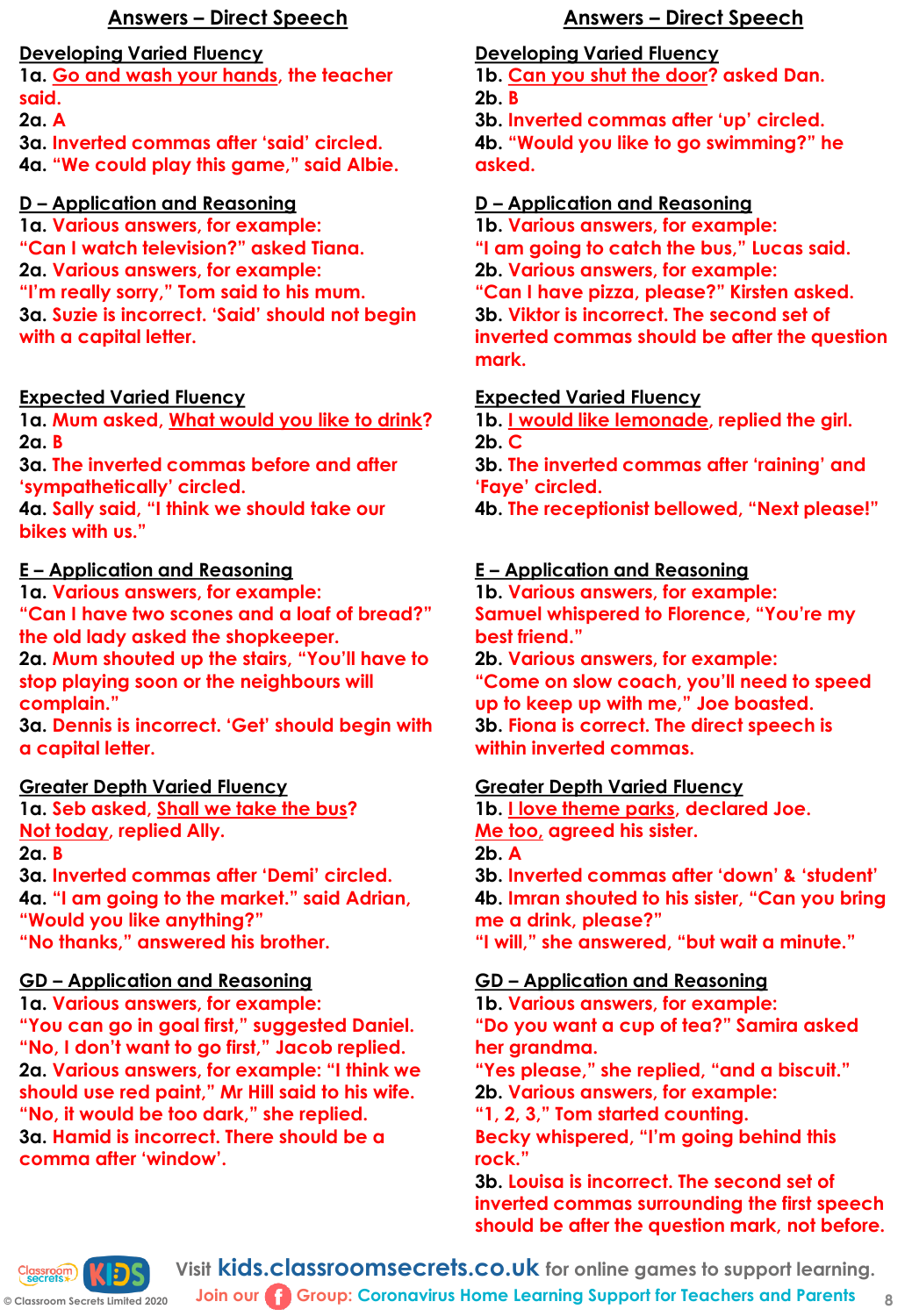**1a. Go and wash your hands, the teacher said.**

**2a. A**

**3a. Inverted commas after 'said' circled.**

**4a. "We could play this game," said Albie.**

#### **D – Application and Reasoning**

**1a. Various answers, for example: "Can I watch television?" asked Tiana. 2a. Various answers, for example: "I'm really sorry," Tom said to his mum. 3a. Suzie is incorrect. 'Said' should not begin with a capital letter.**

#### **Expected Varied Fluency**

**1a. Mum asked, What would you like to drink? 2a. B**

**3a. The inverted commas before and after 'sympathetically' circled.**

**4a. Sally said, "I think we should take our bikes with us."**

#### **E – Application and Reasoning**

**1a. Various answers, for example: "Can I have two scones and a loaf of bread?" the old lady asked the shopkeeper.**

**2a. Mum shouted up the stairs, "You'll have to stop playing soon or the neighbours will complain."**

**3a. Dennis is incorrect. 'Get' should begin with a capital letter.**

#### **Greater Depth Varied Fluency**

**1a. Seb asked, Shall we take the bus? Not today, replied Ally.**

**2a. B**

**3a. Inverted commas after 'Demi' circled. 4a. "I am going to the market." said Adrian, "Would you like anything?" "No thanks," answered his brother.**

# **GD – Application and Reasoning**

**1a. Various answers, for example: "You can go in goal first," suggested Daniel. "No, I don't want to go first," Jacob replied. 2a. Various answers, for example: "I think we should use red paint," Mr Hill said to his wife. "No, it would be too dark," she replied. 3a. Hamid is incorrect. There should be a comma after 'window'.**

# **Answers – Direct Speech Answers – Direct Speech**

**Developing Varied Fluency**

**1b. Can you shut the door? asked Dan. 2b. B**

**3b. Inverted commas after 'up' circled. 4b. "Would you like to go swimming?" he asked.**

#### **D – Application and Reasoning**

**1b. Various answers, for example: "I am going to catch the bus," Lucas said. 2b. Various answers, for example: "Can I have pizza, please?" Kirsten asked. 3b. Viktor is incorrect. The second set of inverted commas should be after the question mark.**

#### **Expected Varied Fluency**

**1b. I would like lemonade, replied the girl. 2b. C**

**3b. The inverted commas after 'raining' and 'Faye' circled.**

**4b. The receptionist bellowed, "Next please!"** 

# **E – Application and Reasoning**

**1b. Various answers, for example: Samuel whispered to Florence, "You're my best friend."**

**2b. Various answers, for example: "Come on slow coach, you'll need to speed up to keep up with me," Joe boasted. 3b. Fiona is correct. The direct speech is within inverted commas.**

# **Greater Depth Varied Fluency**

**1b. I love theme parks, declared Joe. Me too, agreed his sister. 2b. A 3b. Inverted commas after 'down' & 'student'** 

**4b. Imran shouted to his sister, "Can you bring me a drink, please?" "I will," she answered, "but wait a minute."**

# **GD – Application and Reasoning**

**1b. Various answers, for example: "Do you want a cup of tea?" Samira asked her grandma.**

**"Yes please," she replied, "and a biscuit." 2b. Various answers, for example:**

**"1, 2, 3," Tom started counting.**

**Becky whispered, "I'm going behind this rock."**

**3b. Louisa is incorrect. The second set of inverted commas surrounding the first speech should be after the question mark, not before.**



**Visit kids.classroomsecrets.co.uk for online games to support learning. Join our Group: Coronavirus Home Learning Support for Teachers and Parents**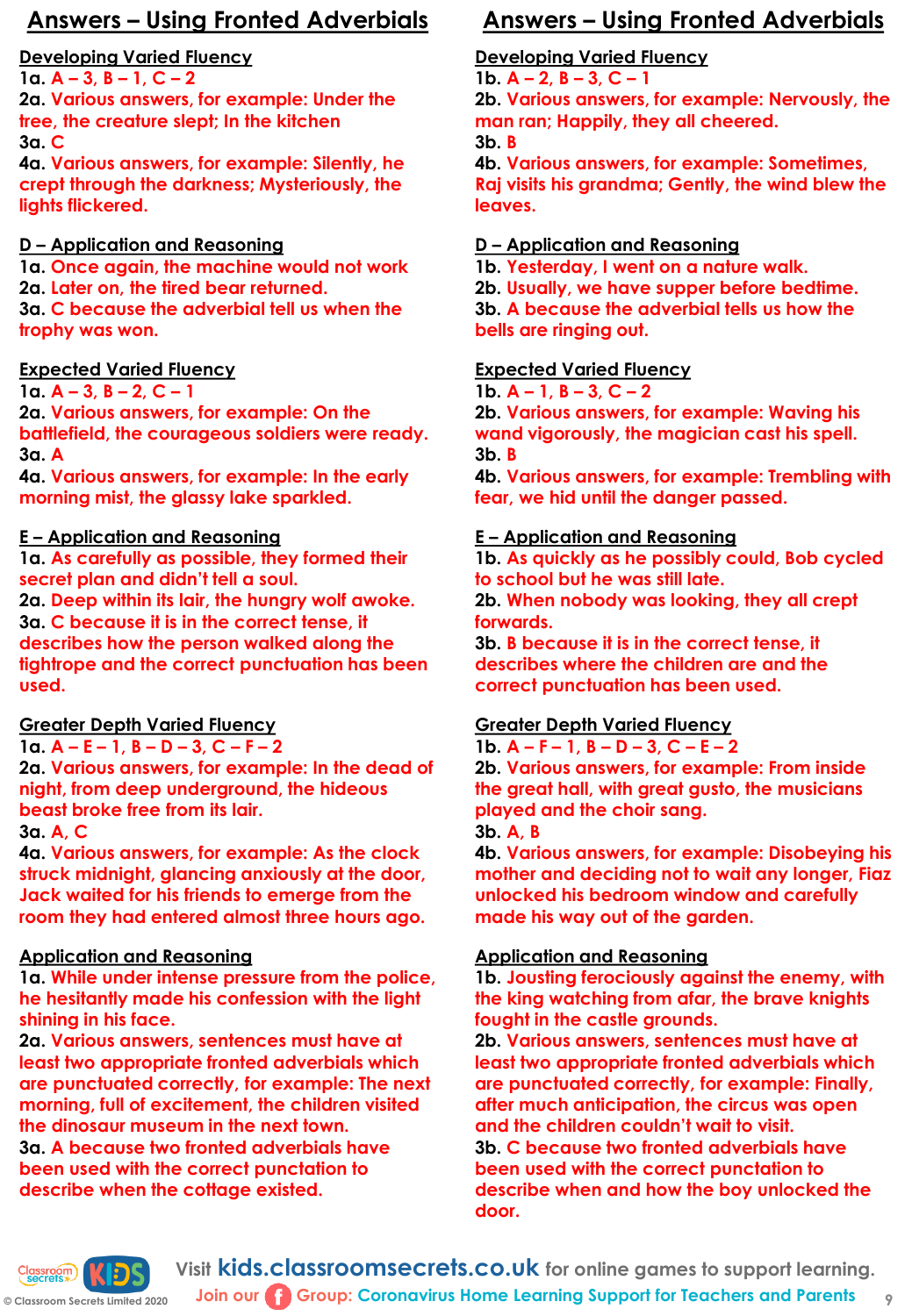**1a. A – 3, B – 1, C – 2**

**2a. Various answers, for example: Under the tree, the creature slept; In the kitchen 3a. C**

**4a. Various answers, for example: Silently, he crept through the darkness; Mysteriously, the lights flickered.**

# **D – Application and Reasoning**

**1a. Once again, the machine would not work 2a. Later on, the tired bear returned. 3a. C because the adverbial tell us when the trophy was won.**

# **Expected Varied Fluency**

**1a. A – 3, B – 2, C – 1** 

**2a. Various answers, for example: On the battlefield, the courageous soldiers were ready. 3a. A**

**4a. Various answers, for example: In the early morning mist, the glassy lake sparkled.** 

# **E – Application and Reasoning**

**1a. As carefully as possible, they formed their secret plan and didn't tell a soul.** 

**2a. Deep within its lair, the hungry wolf awoke. 3a. C because it is in the correct tense, it describes how the person walked along the tightrope and the correct punctuation has been used.**

# **Greater Depth Varied Fluency**

# **1a. A – E – 1, B – D – 3, C – F – 2**

**2a. Various answers, for example: In the dead of night, from deep underground, the hideous beast broke free from its lair.**

**3a. A, C**

**4a. Various answers, for example: As the clock struck midnight, glancing anxiously at the door, Jack waited for his friends to emerge from the room they had entered almost three hours ago.**

# **Application and Reasoning**

**1a. While under intense pressure from the police, he hesitantly made his confession with the light shining in his face.** 

**2a. Various answers, sentences must have at least two appropriate fronted adverbials which are punctuated correctly, for example: The next morning, full of excitement, the children visited the dinosaur museum in the next town.**

**3a. A because two fronted adverbials have been used with the correct punctation to describe when the cottage existed.** 

# **Answers – Using Fronted Adverbials Answers – Using Fronted Adverbials**

# **Developing Varied Fluency**

**1b. A – 2, B – 3, C – 1 2b. Various answers, for example: Nervously, the man ran; Happily, they all cheered. 3b. B**

**4b. Various answers, for example: Sometimes, Raj visits his grandma; Gently, the wind blew the leaves.**

# **D – Application and Reasoning**

**1b. Yesterday, I went on a nature walk. 2b. Usually, we have supper before bedtime. 3b. A because the adverbial tells us how the bells are ringing out.**

#### **Expected Varied Fluency**

**1b. A – 1, B – 3, C – 2**

**2b. Various answers, for example: Waving his wand vigorously, the magician cast his spell. 3b. B**

**4b. Various answers, for example: Trembling with fear, we hid until the danger passed.**

#### **E – Application and Reasoning**

**1b. As quickly as he possibly could, Bob cycled to school but he was still late. 2b. When nobody was looking, they all crept** 

**forwards.**

**3b. B because it is in the correct tense, it describes where the children are and the correct punctuation has been used.**

# **Greater Depth Varied Fluency**

#### **1b. A – F – 1, B – D – 3, C – E – 2**

**2b. Various answers, for example: From inside the great hall, with great gusto, the musicians played and the choir sang.**

**3b. A, B**

**4b. Various answers, for example: Disobeying his mother and deciding not to wait any longer, Fiaz unlocked his bedroom window and carefully made his way out of the garden.**

# **Application and Reasoning**

**1b. Jousting ferociously against the enemy, with the king watching from afar, the brave knights fought in the castle grounds.** 

**2b. Various answers, sentences must have at least two appropriate fronted adverbials which are punctuated correctly, for example: Finally, after much anticipation, the circus was open and the children couldn't wait to visit.** 

**3b. C because two fronted adverbials have been used with the correct punctation to describe when and how the boy unlocked the door.**



**Visit kids.classroomsecrets.co.uk for online games to support learning. Join our Group: Coronavirus Home Learning Support for Teachers and Parents**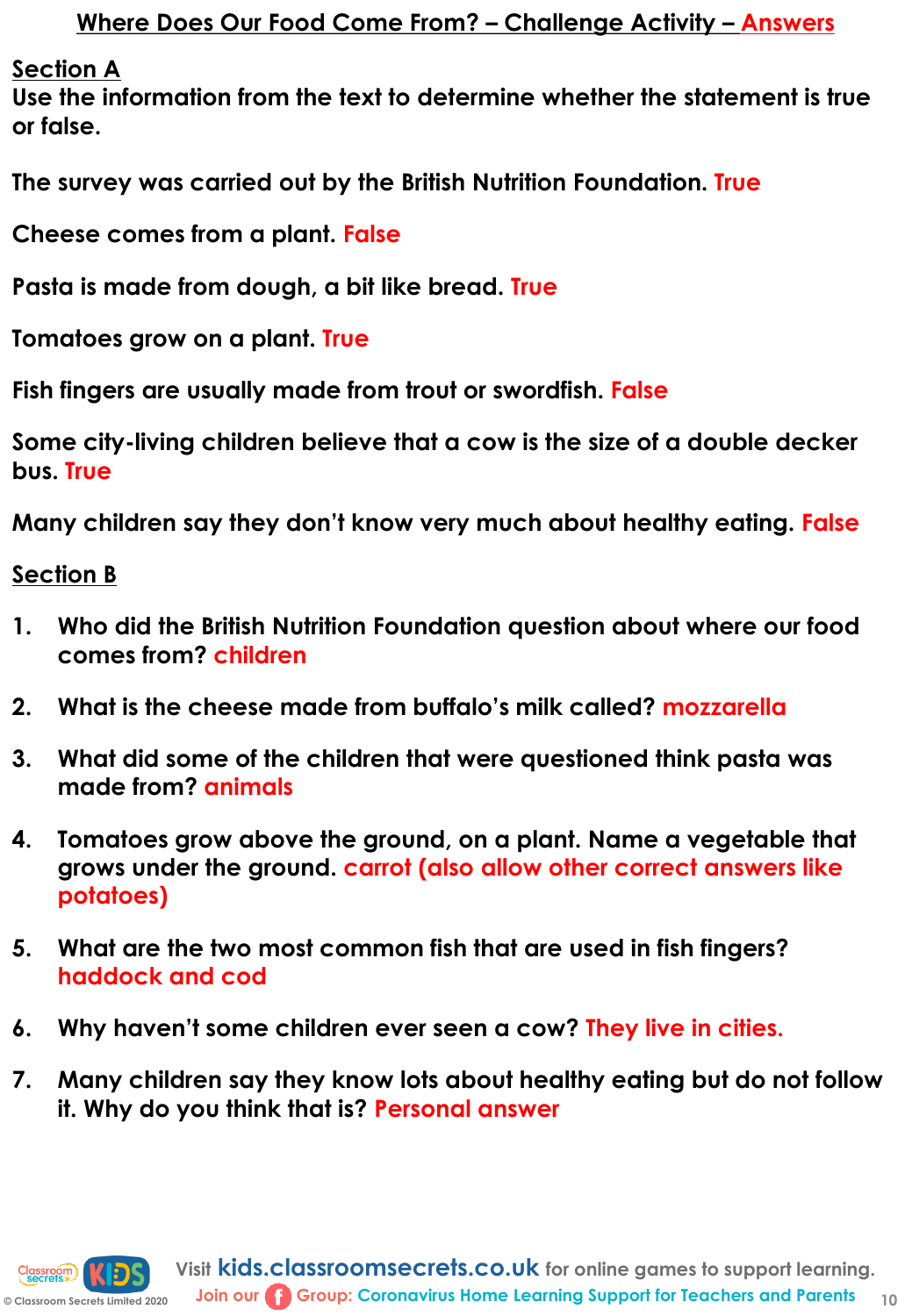**Section A**

**Use the information from the text to determine whether the statement is true or false.**

**The survey was carried out by the British Nutrition Foundation. True**

**Cheese comes from a plant. False**

**Pasta is made from dough, a bit like bread. True**

**Tomatoes grow on a plant. True**

**Fish fingers are usually made from trout or swordfish. False**

**Some city-living children believe that a cow is the size of a double decker bus. True**

**Many children say they don't know very much about healthy eating. False**

**Section B**

- **1. Who did the British Nutrition Foundation question about where our food comes from? children**
- **2. What is the cheese made from buffalo's milk called? mozzarella**
- **3. What did some of the children that were questioned think pasta was made from? animals**
- **4. Tomatoes grow above the ground, on a plant. Name a vegetable that grows under the ground. carrot (also allow other correct answers like potatoes)**
- **5. What are the two most common fish that are used in fish fingers? haddock and cod**
- **6. Why haven't some children ever seen a cow? They live in cities.**
- **7. Many children say they know lots about healthy eating but do not follow it. Why do you think that is? Personal answer**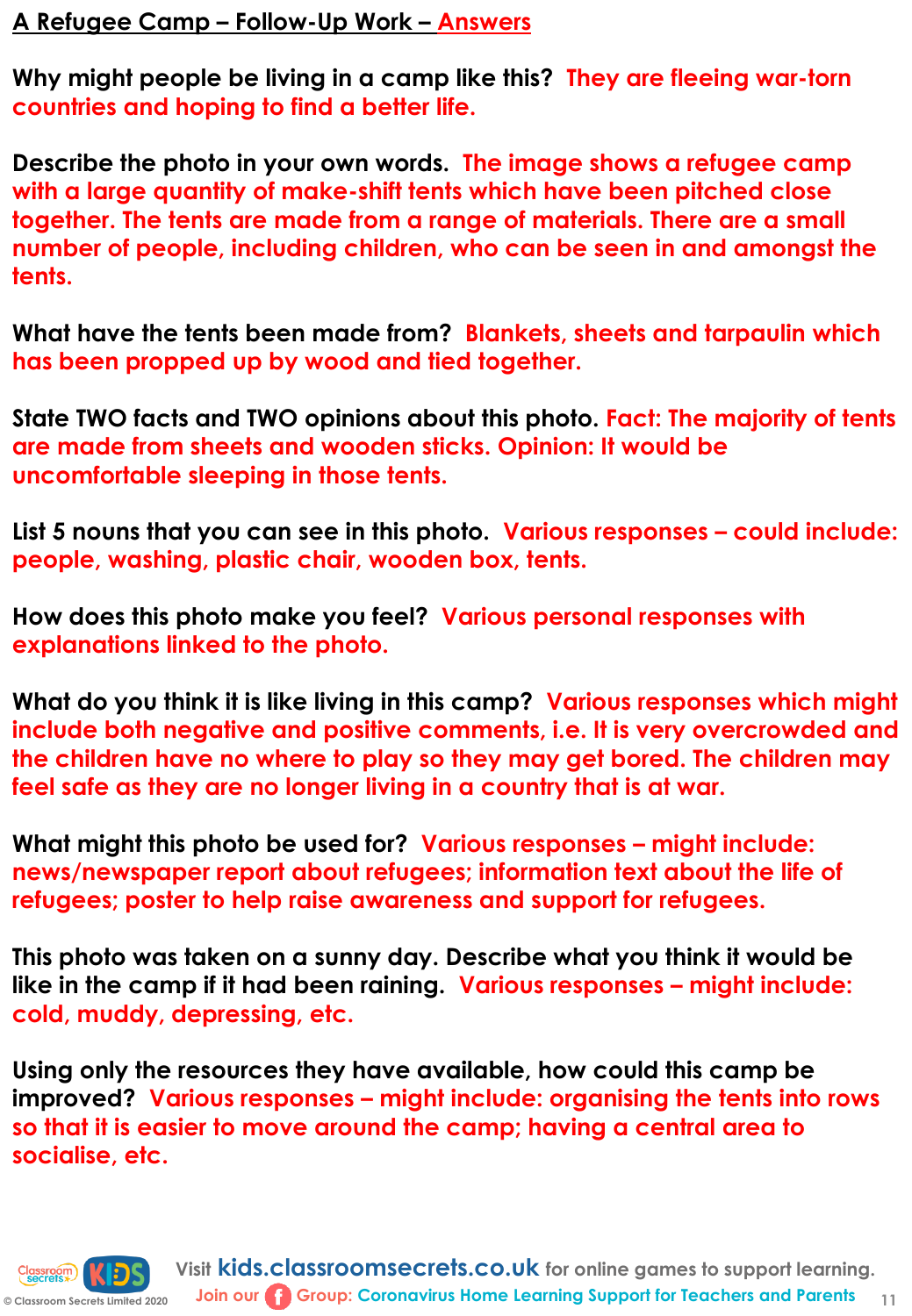# **A Refugee Camp – Follow-Up Work – Answers**

**Why might people be living in a camp like this? They are fleeing war-torn countries and hoping to find a better life.**

**Describe the photo in your own words. The image shows a refugee camp with a large quantity of make-shift tents which have been pitched close together. The tents are made from a range of materials. There are a small number of people, including children, who can be seen in and amongst the tents.**

**What have the tents been made from? Blankets, sheets and tarpaulin which has been propped up by wood and tied together.**

**State TWO facts and TWO opinions about this photo. Fact: The majority of tents are made from sheets and wooden sticks. Opinion: It would be uncomfortable sleeping in those tents.**

**List 5 nouns that you can see in this photo. Various responses – could include: people, washing, plastic chair, wooden box, tents.**

**How does this photo make you feel? Various personal responses with explanations linked to the photo.** 

**What do you think it is like living in this camp? Various responses which might include both negative and positive comments, i.e. It is very overcrowded and the children have no where to play so they may get bored. The children may feel safe as they are no longer living in a country that is at war.**

**What might this photo be used for? Various responses – might include: news/newspaper report about refugees; information text about the life of refugees; poster to help raise awareness and support for refugees.**

**This photo was taken on a sunny day. Describe what you think it would be like in the camp if it had been raining. Various responses – might include: cold, muddy, depressing, etc.**

**Using only the resources they have available, how could this camp be improved? Various responses – might include: organising the tents into rows so that it is easier to move around the camp; having a central area to socialise, etc.**